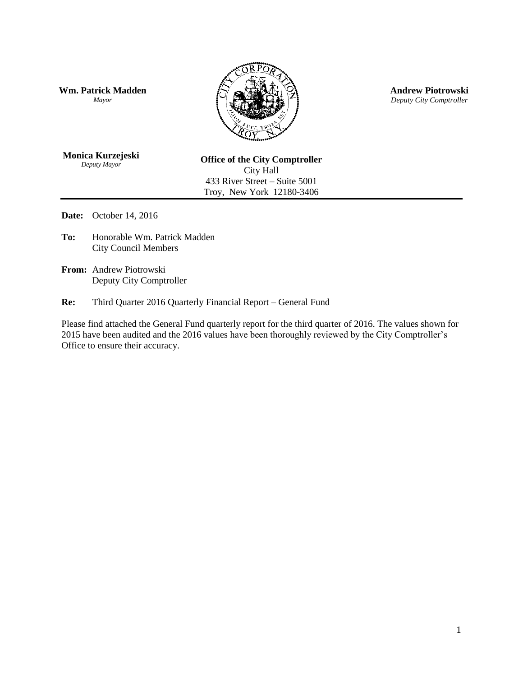**Wm. Patrick Madden** *Mayor*



**Andrew Piotrowski** *Deputy City Comptroller*

**Monica Kurzejeski** *Deputy Mayor*

**Office of the City Comptroller** City Hall 433 River Street – Suite 5001 Troy, New York 12180-3406

**Date:** October 14, 2016

- **To:** Honorable Wm. Patrick Madden City Council Members
- **From:** Andrew Piotrowski Deputy City Comptroller

**Re:** Third Quarter 2016 Quarterly Financial Report – General Fund

Please find attached the General Fund quarterly report for the third quarter of 2016. The values shown for 2015 have been audited and the 2016 values have been thoroughly reviewed by the City Comptroller's Office to ensure their accuracy.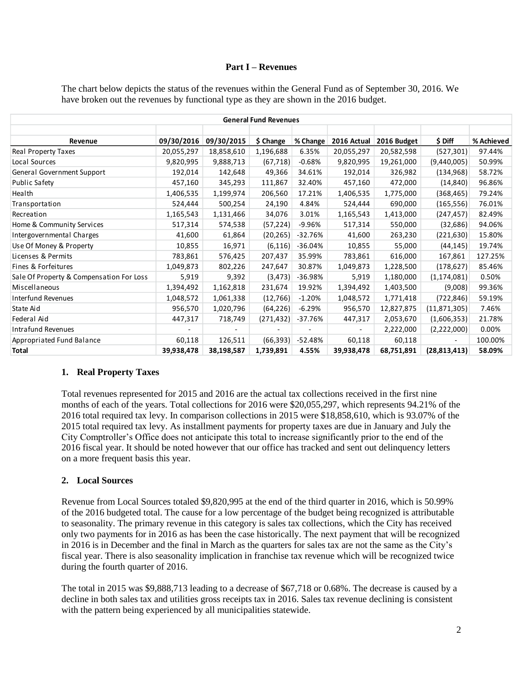#### **Part I – Revenues**

| The chart below depicts the status of the revenues within the General Fund as of September 30, 2016. We |
|---------------------------------------------------------------------------------------------------------|
| have broken out the revenues by functional type as they are shown in the 2016 budget.                   |

| <b>General Fund Revenues</b>             |            |            |            |           |             |             |                |            |  |
|------------------------------------------|------------|------------|------------|-----------|-------------|-------------|----------------|------------|--|
|                                          |            |            |            |           |             |             |                |            |  |
| Revenue                                  | 09/30/2016 | 09/30/2015 | \$ Change  | % Change  | 2016 Actual | 2016 Budget | \$ Diff        | % Achieved |  |
| Real Property Taxes                      | 20,055,297 | 18,858,610 | 1,196,688  | 6.35%     | 20,055,297  | 20,582,598  | (527, 301)     | 97.44%     |  |
| Local Sources                            | 9,820,995  | 9,888,713  | (67, 718)  | $-0.68%$  | 9,820,995   | 19,261,000  | (9,440,005)    | 50.99%     |  |
| General Government Support               | 192,014    | 142,648    | 49,366     | 34.61%    | 192,014     | 326,982     | (134, 968)     | 58.72%     |  |
| Public Safety                            | 457,160    | 345,293    | 111,867    | 32.40%    | 457,160     | 472,000     | (14, 840)      | 96.86%     |  |
| Health                                   | 1,406,535  | 1,199,974  | 206,560    | 17.21%    | 1,406,535   | 1,775,000   | (368, 465)     | 79.24%     |  |
| Transportation                           | 524,444    | 500,254    | 24,190     | 4.84%     | 524,444     | 690,000     | (165, 556)     | 76.01%     |  |
| Recreation                               | 1,165,543  | 1,131,466  | 34,076     | 3.01%     | 1,165,543   | 1,413,000   | (247, 457)     | 82.49%     |  |
| Home & Community Services                | 517,314    | 574,538    | (57, 224)  | $-9.96%$  | 517,314     | 550,000     | (32, 686)      | 94.06%     |  |
| Intergovernmental Charges                | 41,600     | 61,864     | (20, 265)  | $-32.76%$ | 41,600      | 263,230     | (221, 630)     | 15.80%     |  |
| Use Of Money & Property                  | 10,855     | 16,971     | (6, 116)   | $-36.04%$ | 10,855      | 55,000      | (44, 145)      | 19.74%     |  |
| Licenses & Permits                       | 783,861    | 576,425    | 207,437    | 35.99%    | 783,861     | 616,000     | 167,861        | 127.25%    |  |
| Fines & Forfeitures                      | 1,049,873  | 802,226    | 247,647    | 30.87%    | 1,049,873   | 1,228,500   | (178, 627)     | 85.46%     |  |
| Sale Of Property & Compensation For Loss | 5,919      | 9,392      | (3, 473)   | $-36.98%$ | 5,919       | 1,180,000   | (1, 174, 081)  | 0.50%      |  |
| Miscellaneous                            | 1,394,492  | 1,162,818  | 231,674    | 19.92%    | 1,394,492   | 1,403,500   | (9,008)        | 99.36%     |  |
| <b>Interfund Revenues</b>                | 1,048,572  | 1,061,338  | (12, 766)  | $-1.20%$  | 1,048,572   | 1,771,418   | (722, 846)     | 59.19%     |  |
| State Aid                                | 956,570    | 1,020,796  | (64, 226)  | $-6.29%$  | 956,570     | 12,827,875  | (11, 871, 305) | 7.46%      |  |
| Federal Aid                              | 447,317    | 718,749    | (271, 432) | -37.76%   | 447,317     | 2,053,670   | (1,606,353)    | 21.78%     |  |
| <b>Intrafund Revenues</b>                |            |            |            |           |             | 2,222,000   | (2,222,000)    | 0.00%      |  |
| Appropriated Fund Balance                | 60,118     | 126,511    | (66, 393)  | -52.48%   | 60,118      | 60,118      |                | 100.00%    |  |
| Total                                    | 39,938,478 | 38,198,587 | 1,739,891  | 4.55%     | 39,938,478  | 68,751,891  | (28, 813, 413) | 58.09%     |  |

#### **1. Real Property Taxes**

Total revenues represented for 2015 and 2016 are the actual tax collections received in the first nine months of each of the years. Total collections for 2016 were \$20,055,297, which represents 94.21% of the 2016 total required tax levy. In comparison collections in 2015 were \$18,858,610, which is 93.07% of the 2015 total required tax levy. As installment payments for property taxes are due in January and July the City Comptroller's Office does not anticipate this total to increase significantly prior to the end of the 2016 fiscal year. It should be noted however that our office has tracked and sent out delinquency letters on a more frequent basis this year.

#### **2. Local Sources**

Revenue from Local Sources totaled \$9,820,995 at the end of the third quarter in 2016, which is 50.99% of the 2016 budgeted total. The cause for a low percentage of the budget being recognized is attributable to seasonality. The primary revenue in this category is sales tax collections, which the City has received only two payments for in 2016 as has been the case historically. The next payment that will be recognized in 2016 is in December and the final in March as the quarters for sales tax are not the same as the City's fiscal year. There is also seasonality implication in franchise tax revenue which will be recognized twice during the fourth quarter of 2016.

The total in 2015 was \$9,888,713 leading to a decrease of \$67,718 or 0.68%. The decrease is caused by a decline in both sales tax and utilities gross receipts tax in 2016. Sales tax revenue declining is consistent with the pattern being experienced by all municipalities statewide.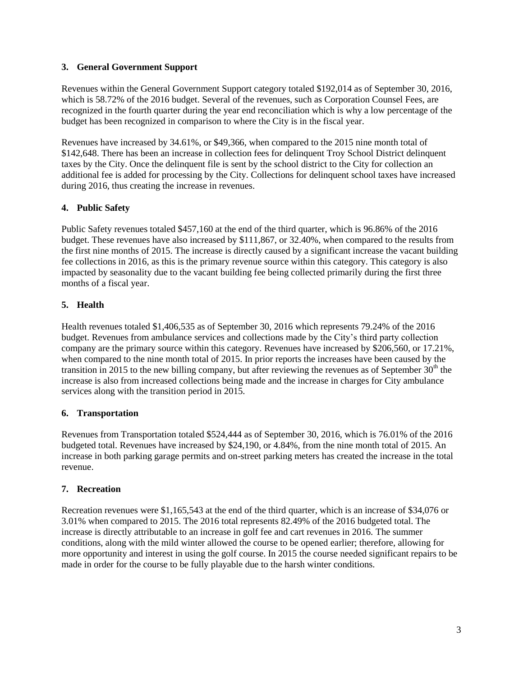### **3. General Government Support**

Revenues within the General Government Support category totaled \$192,014 as of September 30, 2016, which is 58.72% of the 2016 budget. Several of the revenues, such as Corporation Counsel Fees, are recognized in the fourth quarter during the year end reconciliation which is why a low percentage of the budget has been recognized in comparison to where the City is in the fiscal year.

Revenues have increased by 34.61%, or \$49,366, when compared to the 2015 nine month total of \$142,648. There has been an increase in collection fees for delinquent Troy School District delinquent taxes by the City. Once the delinquent file is sent by the school district to the City for collection an additional fee is added for processing by the City. Collections for delinquent school taxes have increased during 2016, thus creating the increase in revenues.

## **4. Public Safety**

Public Safety revenues totaled \$457,160 at the end of the third quarter, which is 96.86% of the 2016 budget. These revenues have also increased by \$111,867, or 32.40%, when compared to the results from the first nine months of 2015. The increase is directly caused by a significant increase the vacant building fee collections in 2016, as this is the primary revenue source within this category. This category is also impacted by seasonality due to the vacant building fee being collected primarily during the first three months of a fiscal year.

# **5. Health**

Health revenues totaled \$1,406,535 as of September 30, 2016 which represents 79.24% of the 2016 budget. Revenues from ambulance services and collections made by the City's third party collection company are the primary source within this category. Revenues have increased by \$206,560, or 17.21%, when compared to the nine month total of 2015. In prior reports the increases have been caused by the transition in 2015 to the new billing company, but after reviewing the revenues as of September  $30<sup>th</sup>$  the increase is also from increased collections being made and the increase in charges for City ambulance services along with the transition period in 2015.

## **6. Transportation**

Revenues from Transportation totaled \$524,444 as of September 30, 2016, which is 76.01% of the 2016 budgeted total. Revenues have increased by \$24,190, or 4.84%, from the nine month total of 2015. An increase in both parking garage permits and on-street parking meters has created the increase in the total revenue.

## **7. Recreation**

Recreation revenues were \$1,165,543 at the end of the third quarter, which is an increase of \$34,076 or 3.01% when compared to 2015. The 2016 total represents 82.49% of the 2016 budgeted total. The increase is directly attributable to an increase in golf fee and cart revenues in 2016. The summer conditions, along with the mild winter allowed the course to be opened earlier; therefore, allowing for more opportunity and interest in using the golf course. In 2015 the course needed significant repairs to be made in order for the course to be fully playable due to the harsh winter conditions.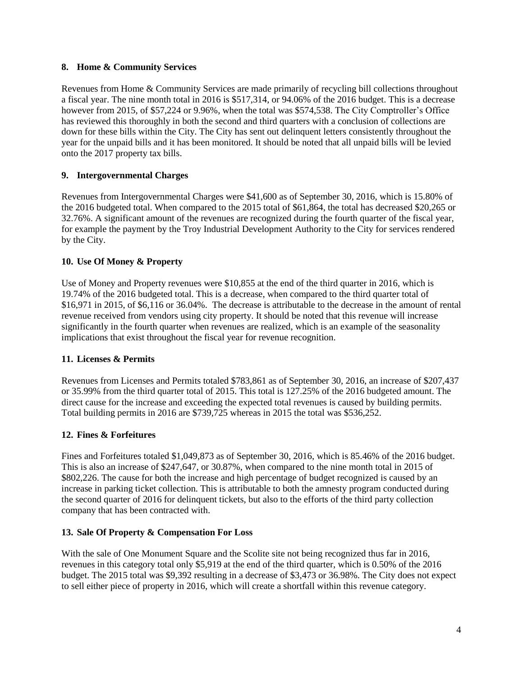#### **8. Home & Community Services**

Revenues from Home & Community Services are made primarily of recycling bill collections throughout a fiscal year. The nine month total in 2016 is \$517,314, or 94.06% of the 2016 budget. This is a decrease however from 2015, of \$57,224 or 9.96%, when the total was \$574,538. The City Comptroller's Office has reviewed this thoroughly in both the second and third quarters with a conclusion of collections are down for these bills within the City. The City has sent out delinquent letters consistently throughout the year for the unpaid bills and it has been monitored. It should be noted that all unpaid bills will be levied onto the 2017 property tax bills.

## **9. Intergovernmental Charges**

Revenues from Intergovernmental Charges were \$41,600 as of September 30, 2016, which is 15.80% of the 2016 budgeted total. When compared to the 2015 total of \$61,864, the total has decreased \$20,265 or 32.76%. A significant amount of the revenues are recognized during the fourth quarter of the fiscal year, for example the payment by the Troy Industrial Development Authority to the City for services rendered by the City.

## **10. Use Of Money & Property**

Use of Money and Property revenues were \$10,855 at the end of the third quarter in 2016, which is 19.74% of the 2016 budgeted total. This is a decrease, when compared to the third quarter total of \$16,971 in 2015, of \$6,116 or 36.04%. The decrease is attributable to the decrease in the amount of rental revenue received from vendors using city property. It should be noted that this revenue will increase significantly in the fourth quarter when revenues are realized, which is an example of the seasonality implications that exist throughout the fiscal year for revenue recognition.

# **11. Licenses & Permits**

Revenues from Licenses and Permits totaled \$783,861 as of September 30, 2016, an increase of \$207,437 or 35.99% from the third quarter total of 2015. This total is 127.25% of the 2016 budgeted amount. The direct cause for the increase and exceeding the expected total revenues is caused by building permits. Total building permits in 2016 are \$739,725 whereas in 2015 the total was \$536,252.

## **12. Fines & Forfeitures**

Fines and Forfeitures totaled \$1,049,873 as of September 30, 2016, which is 85.46% of the 2016 budget. This is also an increase of \$247,647, or 30.87%, when compared to the nine month total in 2015 of \$802,226. The cause for both the increase and high percentage of budget recognized is caused by an increase in parking ticket collection. This is attributable to both the amnesty program conducted during the second quarter of 2016 for delinquent tickets, but also to the efforts of the third party collection company that has been contracted with.

## **13. Sale Of Property & Compensation For Loss**

With the sale of One Monument Square and the Scolite site not being recognized thus far in 2016, revenues in this category total only \$5,919 at the end of the third quarter, which is 0.50% of the 2016 budget. The 2015 total was \$9,392 resulting in a decrease of \$3,473 or 36.98%. The City does not expect to sell either piece of property in 2016, which will create a shortfall within this revenue category.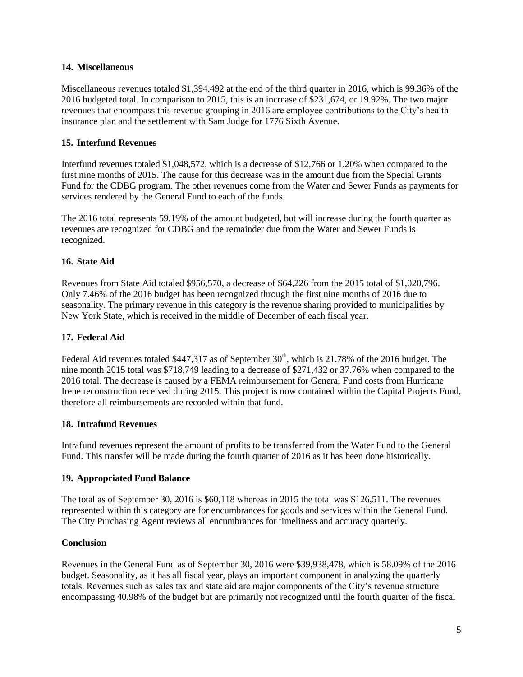#### **14. Miscellaneous**

Miscellaneous revenues totaled \$1,394,492 at the end of the third quarter in 2016, which is 99.36% of the 2016 budgeted total. In comparison to 2015, this is an increase of \$231,674, or 19.92%. The two major revenues that encompass this revenue grouping in 2016 are employee contributions to the City's health insurance plan and the settlement with Sam Judge for 1776 Sixth Avenue.

## **15. Interfund Revenues**

Interfund revenues totaled \$1,048,572, which is a decrease of \$12,766 or 1.20% when compared to the first nine months of 2015. The cause for this decrease was in the amount due from the Special Grants Fund for the CDBG program. The other revenues come from the Water and Sewer Funds as payments for services rendered by the General Fund to each of the funds.

The 2016 total represents 59.19% of the amount budgeted, but will increase during the fourth quarter as revenues are recognized for CDBG and the remainder due from the Water and Sewer Funds is recognized.

### **16. State Aid**

Revenues from State Aid totaled \$956,570, a decrease of \$64,226 from the 2015 total of \$1,020,796. Only 7.46% of the 2016 budget has been recognized through the first nine months of 2016 due to seasonality. The primary revenue in this category is the revenue sharing provided to municipalities by New York State, which is received in the middle of December of each fiscal year.

### **17. Federal Aid**

Federal Aid revenues totaled \$447,317 as of September  $30<sup>th</sup>$ , which is 21.78% of the 2016 budget. The nine month 2015 total was \$718,749 leading to a decrease of \$271,432 or 37.76% when compared to the 2016 total. The decrease is caused by a FEMA reimbursement for General Fund costs from Hurricane Irene reconstruction received during 2015. This project is now contained within the Capital Projects Fund, therefore all reimbursements are recorded within that fund.

#### **18. Intrafund Revenues**

Intrafund revenues represent the amount of profits to be transferred from the Water Fund to the General Fund. This transfer will be made during the fourth quarter of 2016 as it has been done historically.

#### **19. Appropriated Fund Balance**

The total as of September 30, 2016 is \$60,118 whereas in 2015 the total was \$126,511. The revenues represented within this category are for encumbrances for goods and services within the General Fund. The City Purchasing Agent reviews all encumbrances for timeliness and accuracy quarterly.

#### **Conclusion**

Revenues in the General Fund as of September 30, 2016 were \$39,938,478, which is 58.09% of the 2016 budget. Seasonality, as it has all fiscal year, plays an important component in analyzing the quarterly totals. Revenues such as sales tax and state aid are major components of the City's revenue structure encompassing 40.98% of the budget but are primarily not recognized until the fourth quarter of the fiscal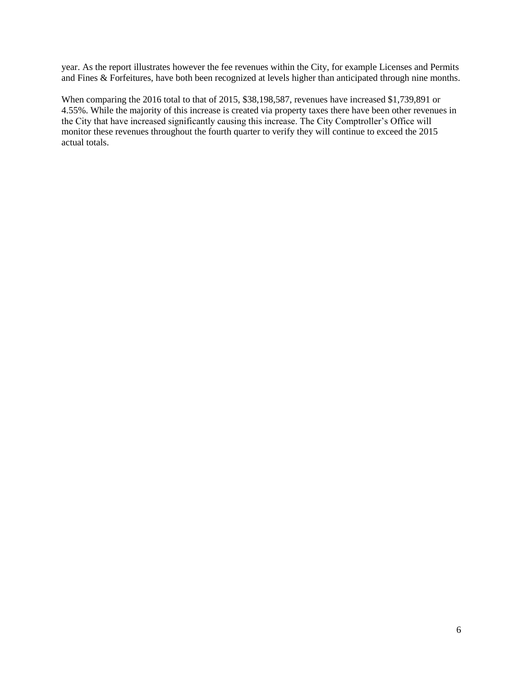year. As the report illustrates however the fee revenues within the City, for example Licenses and Permits and Fines  $\&$  Forfeitures, have both been recognized at levels higher than anticipated through nine months.

When comparing the 2016 total to that of 2015, \$38,198,587, revenues have increased \$1,739,891 or 4.55%. While the majority of this increase is created via property taxes there have been other revenues in the City that have increased significantly causing this increase. The City Comptroller's Office will monitor these revenues throughout the fourth quarter to verify they will continue to exceed the 2015 actual totals.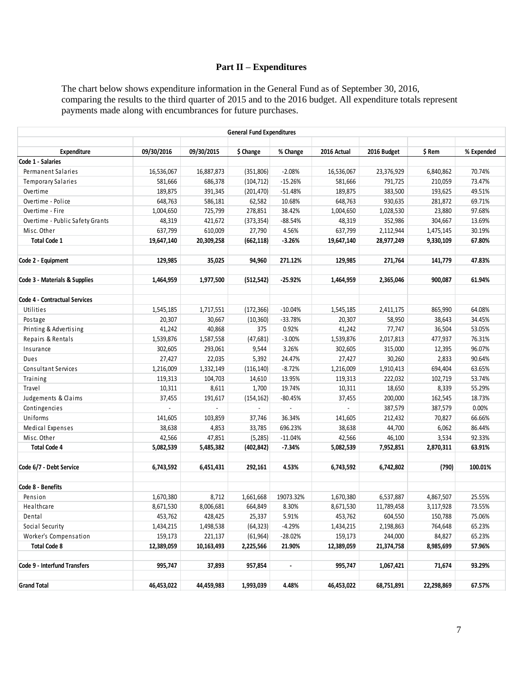# **Part II – Expenditures**

The chart below shows expenditure information in the General Fund as of September 30, 2016, comparing the results to the third quarter of 2015 and to the 2016 budget. All expenditure totals represent payments made along with encumbrances for future purchases.

|                                 |            |            | <b>General Fund Expenditures</b> |                          |             |             |            |            |
|---------------------------------|------------|------------|----------------------------------|--------------------------|-------------|-------------|------------|------------|
| Expenditure                     | 09/30/2016 | 09/30/2015 | \$ Change                        | % Change                 | 2016 Actual | 2016 Budget | \$ Rem     | % Expended |
| Code 1 - Salaries               |            |            |                                  |                          |             |             |            |            |
| Permanent Salaries              | 16,536,067 | 16,887,873 | (351, 806)                       | $-2.08%$                 | 16,536,067  | 23,376,929  | 6,840,862  | 70.74%     |
| <b>Temporary Salaries</b>       | 581,666    | 686,378    | (104, 712)                       | $-15.26%$                | 581,666     | 791,725     | 210,059    | 73.47%     |
| Overtime                        | 189,875    | 391,345    | (201, 470)                       | $-51.48%$                | 189,875     | 383,500     | 193,625    | 49.51%     |
| Overtime - Police               | 648,763    | 586,181    | 62,582                           | 10.68%                   | 648,763     | 930,635     | 281,872    | 69.71%     |
| Overtime - Fire                 | 1,004,650  | 725,799    | 278,851                          | 38.42%                   | 1,004,650   | 1,028,530   | 23,880     | 97.68%     |
| Overtime - Public Safety Grants | 48,319     | 421,672    | (373, 354)                       | $-88.54%$                | 48,319      | 352,986     | 304,667    | 13.69%     |
| Misc. Other                     | 637,799    | 610,009    | 27,790                           | 4.56%                    | 637,799     | 2,112,944   | 1,475,145  | 30.19%     |
| <b>Total Code 1</b>             | 19,647,140 | 20,309,258 | (662, 118)                       | $-3.26%$                 | 19,647,140  | 28,977,249  | 9,330,109  | 67.80%     |
| Code 2 - Equipment              | 129,985    | 35,025     | 94,960                           | 271.12%                  | 129,985     | 271,764     | 141,779    | 47.83%     |
|                                 |            |            |                                  |                          |             |             |            |            |
| Code 3 - Materials & Supplies   | 1,464,959  | 1,977,500  | (512, 542)                       | $-25.92%$                | 1,464,959   | 2,365,046   | 900,087    | 61.94%     |
| Code 4 - Contractual Services   |            |            |                                  |                          |             |             |            |            |
| Utilities                       | 1,545,185  | 1,717,551  | (172, 366)                       | $-10.04%$                | 1,545,185   | 2,411,175   | 865,990    | 64.08%     |
| Postage                         | 20,307     | 30,667     | (10, 360)                        | $-33.78%$                | 20,307      | 58,950      | 38,643     | 34.45%     |
| Printing & Advertising          | 41,242     | 40,868     | 375                              | 0.92%                    | 41,242      | 77,747      | 36,504     | 53.05%     |
| Repairs & Rentals               | 1,539,876  | 1,587,558  | (47, 681)                        | $-3.00%$                 | 1,539,876   | 2,017,813   | 477,937    | 76.31%     |
| Insurance                       | 302,605    | 293,061    | 9,544                            | 3.26%                    | 302,605     | 315,000     | 12,395     | 96.07%     |
| Dues                            | 27,427     | 22,035     | 5,392                            | 24.47%                   | 27,427      | 30,260      | 2,833      | 90.64%     |
| Consultant Services             | 1,216,009  | 1,332,149  | (116, 140)                       | $-8.72%$                 | 1,216,009   | 1,910,413   | 694,404    | 63.65%     |
| Training                        | 119,313    | 104,703    | 14,610                           | 13.95%                   | 119,313     | 222,032     | 102,719    | 53.74%     |
| Travel                          | 10,311     | 8,611      | 1,700                            | 19.74%                   | 10,311      | 18,650      | 8,339      | 55.29%     |
| Judgements & Claims             | 37,455     | 191,617    | (154, 162)                       | $-80.45%$                | 37,455      | 200,000     | 162,545    | 18.73%     |
| Contingencies                   |            |            |                                  |                          |             | 387,579     | 387,579    | 0.00%      |
| Uniforms                        | 141,605    | 103,859    | 37,746                           | 36.34%                   | 141,605     | 212,432     | 70,827     | 66.66%     |
| Medical Expenses                | 38,638     | 4,853      | 33,785                           | 696.23%                  | 38,638      | 44,700      | 6,062      | 86.44%     |
| Misc. Other                     | 42,566     | 47,851     | (5, 285)                         | $-11.04%$                | 42,566      | 46,100      | 3,534      | 92.33%     |
| <b>Total Code 4</b>             | 5,082,539  | 5,485,382  | (402, 842)                       | $-7.34%$                 | 5,082,539   | 7,952,851   | 2,870,311  | 63.91%     |
| Code 6/7 - Debt Service         | 6,743,592  | 6,451,431  | 292,161                          | 4.53%                    | 6,743,592   | 6,742,802   | (790)      | 100.01%    |
| Code 8 - Benefits               |            |            |                                  |                          |             |             |            |            |
| Pension                         | 1,670,380  | 8,712      | 1,661,668                        | 19073.32%                | 1,670,380   | 6,537,887   | 4,867,507  | 25.55%     |
| Healthcare                      | 8,671,530  | 8,006,681  | 664,849                          | 8.30%                    | 8,671,530   | 11,789,458  | 3,117,928  | 73.55%     |
| Dental                          | 453,762    | 428,425    | 25,337                           | 5.91%                    | 453,762     | 604,550     | 150,788    | 75.06%     |
| Social Security                 | 1,434,215  | 1,498,538  | (64, 323)                        | $-4.29%$                 | 1,434,215   | 2,198,863   | 764,648    | 65.23%     |
| Worker's Compensation           | 159,173    | 221,137    | (61, 964)                        | $-28.02%$                | 159,173     | 244,000     | 84,827     | 65.23%     |
| <b>Total Code 8</b>             | 12,389,059 | 10,163,493 | 2,225,566                        | 21.90%                   | 12,389,059  | 21,374,758  | 8,985,699  | 57.96%     |
|                                 |            |            |                                  |                          |             |             |            |            |
| Code 9 - Interfund Transfers    | 995,747    | 37,893     | 957,854                          | $\overline{\phantom{a}}$ | 995,747     | 1,067,421   | 71,674     | 93.29%     |
|                                 |            |            |                                  |                          |             |             |            |            |
| <b>Grand Total</b>              | 46,453,022 | 44,459,983 | 1,993,039                        | 4.48%                    | 46,453,022  | 68,751,891  | 22,298,869 | 67.57%     |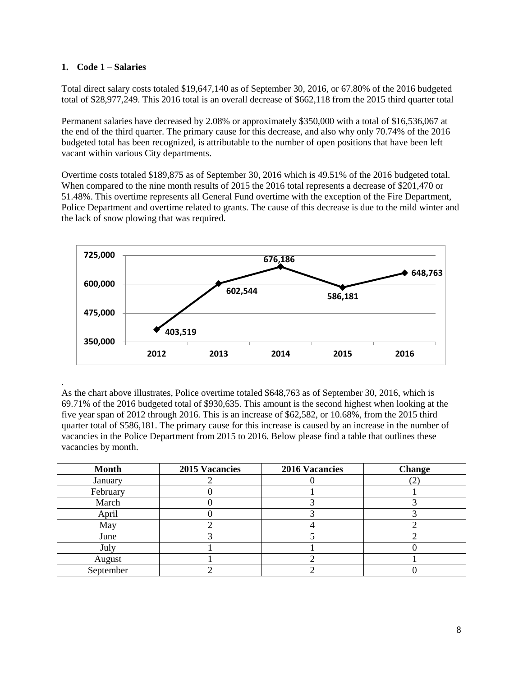#### **1. Code 1 – Salaries**

.

Total direct salary costs totaled \$19,647,140 as of September 30, 2016, or 67.80% of the 2016 budgeted total of \$28,977,249. This 2016 total is an overall decrease of \$662,118 from the 2015 third quarter total

Permanent salaries have decreased by 2.08% or approximately \$350,000 with a total of \$16,536,067 at the end of the third quarter. The primary cause for this decrease, and also why only 70.74% of the 2016 budgeted total has been recognized, is attributable to the number of open positions that have been left vacant within various City departments.

Overtime costs totaled \$189,875 as of September 30, 2016 which is 49.51% of the 2016 budgeted total. When compared to the nine month results of 2015 the 2016 total represents a decrease of \$201,470 or 51.48%. This overtime represents all General Fund overtime with the exception of the Fire Department, Police Department and overtime related to grants. The cause of this decrease is due to the mild winter and the lack of snow plowing that was required.



As the chart above illustrates, Police overtime totaled \$648,763 as of September 30, 2016, which is 69.71% of the 2016 budgeted total of \$930,635. This amount is the second highest when looking at the five year span of 2012 through 2016. This is an increase of \$62,582, or 10.68%, from the 2015 third quarter total of \$586,181. The primary cause for this increase is caused by an increase in the number of vacancies in the Police Department from 2015 to 2016. Below please find a table that outlines these vacancies by month.

| <b>Month</b> | 2015 Vacancies | <b>2016 Vacancies</b> | <b>Change</b> |
|--------------|----------------|-----------------------|---------------|
| January      |                |                       | ↩.            |
| February     |                |                       |               |
| March        |                |                       |               |
| April        |                |                       |               |
| May          |                |                       |               |
| June         |                |                       |               |
| July         |                |                       |               |
| August       |                |                       |               |
| September    |                |                       |               |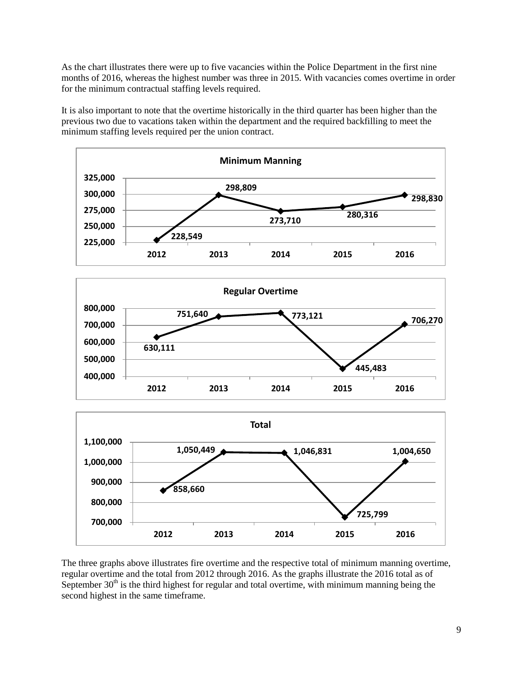As the chart illustrates there were up to five vacancies within the Police Department in the first nine months of 2016, whereas the highest number was three in 2015. With vacancies comes overtime in order for the minimum contractual staffing levels required.

It is also important to note that the overtime historically in the third quarter has been higher than the previous two due to vacations taken within the department and the required backfilling to meet the minimum staffing levels required per the union contract.



The three graphs above illustrates fire overtime and the respective total of minimum manning overtime, regular overtime and the total from 2012 through 2016. As the graphs illustrate the 2016 total as of September  $30<sup>th</sup>$  is the third highest for regular and total overtime, with minimum manning being the second highest in the same timeframe.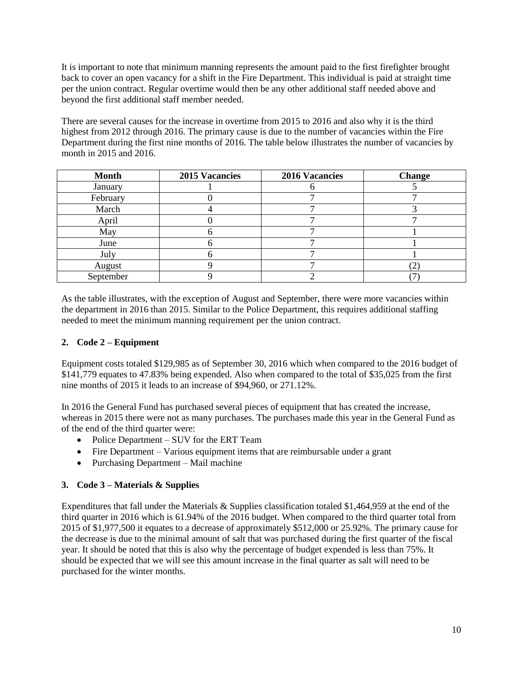It is important to note that minimum manning represents the amount paid to the first firefighter brought back to cover an open vacancy for a shift in the Fire Department. This individual is paid at straight time per the union contract. Regular overtime would then be any other additional staff needed above and beyond the first additional staff member needed.

There are several causes for the increase in overtime from 2015 to 2016 and also why it is the third highest from 2012 through 2016. The primary cause is due to the number of vacancies within the Fire Department during the first nine months of 2016. The table below illustrates the number of vacancies by month in 2015 and 2016.

| <b>Month</b> | <b>2015 Vacancies</b> | <b>2016 Vacancies</b> | <b>Change</b> |
|--------------|-----------------------|-----------------------|---------------|
| January      |                       |                       |               |
| February     |                       |                       |               |
| March        |                       |                       |               |
| April        |                       |                       |               |
| May          |                       |                       |               |
| June         |                       |                       |               |
| July         |                       |                       |               |
| August       |                       |                       | ∽             |
| September    |                       |                       |               |

As the table illustrates, with the exception of August and September, there were more vacancies within the department in 2016 than 2015. Similar to the Police Department, this requires additional staffing needed to meet the minimum manning requirement per the union contract.

# **2. Code 2 – Equipment**

Equipment costs totaled \$129,985 as of September 30, 2016 which when compared to the 2016 budget of \$141,779 equates to 47.83% being expended. Also when compared to the total of \$35,025 from the first nine months of 2015 it leads to an increase of \$94,960, or 271.12%.

In 2016 the General Fund has purchased several pieces of equipment that has created the increase, whereas in 2015 there were not as many purchases. The purchases made this year in the General Fund as of the end of the third quarter were:

- Police Department SUV for the ERT Team
- Fire Department Various equipment items that are reimbursable under a grant
- Purchasing Department Mail machine

# **3. Code 3 – Materials & Supplies**

Expenditures that fall under the Materials & Supplies classification totaled \$1,464,959 at the end of the third quarter in 2016 which is 61.94% of the 2016 budget. When compared to the third quarter total from 2015 of \$1,977,500 it equates to a decrease of approximately \$512,000 or 25.92%. The primary cause for the decrease is due to the minimal amount of salt that was purchased during the first quarter of the fiscal year. It should be noted that this is also why the percentage of budget expended is less than 75%. It should be expected that we will see this amount increase in the final quarter as salt will need to be purchased for the winter months.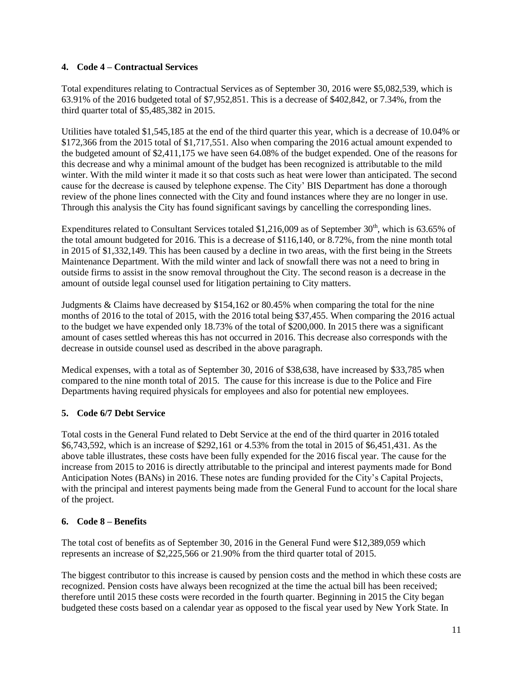## **4. Code 4 – Contractual Services**

Total expenditures relating to Contractual Services as of September 30, 2016 were \$5,082,539, which is 63.91% of the 2016 budgeted total of \$7,952,851. This is a decrease of \$402,842, or 7.34%, from the third quarter total of \$5,485,382 in 2015.

Utilities have totaled \$1,545,185 at the end of the third quarter this year, which is a decrease of 10.04% or \$172,366 from the 2015 total of \$1,717,551. Also when comparing the 2016 actual amount expended to the budgeted amount of \$2,411,175 we have seen 64.08% of the budget expended. One of the reasons for this decrease and why a minimal amount of the budget has been recognized is attributable to the mild winter. With the mild winter it made it so that costs such as heat were lower than anticipated. The second cause for the decrease is caused by telephone expense. The City' BIS Department has done a thorough review of the phone lines connected with the City and found instances where they are no longer in use. Through this analysis the City has found significant savings by cancelling the corresponding lines.

Expenditures related to Consultant Services totaled \$1,216,009 as of September  $30<sup>th</sup>$ , which is 63.65% of the total amount budgeted for 2016. This is a decrease of \$116,140, or 8.72%, from the nine month total in 2015 of \$1,332,149. This has been caused by a decline in two areas, with the first being in the Streets Maintenance Department. With the mild winter and lack of snowfall there was not a need to bring in outside firms to assist in the snow removal throughout the City. The second reason is a decrease in the amount of outside legal counsel used for litigation pertaining to City matters.

Judgments & Claims have decreased by \$154,162 or 80.45% when comparing the total for the nine months of 2016 to the total of 2015, with the 2016 total being \$37,455. When comparing the 2016 actual to the budget we have expended only 18.73% of the total of \$200,000. In 2015 there was a significant amount of cases settled whereas this has not occurred in 2016. This decrease also corresponds with the decrease in outside counsel used as described in the above paragraph.

Medical expenses, with a total as of September 30, 2016 of \$38,638, have increased by \$33,785 when compared to the nine month total of 2015. The cause for this increase is due to the Police and Fire Departments having required physicals for employees and also for potential new employees.

## **5. Code 6/7 Debt Service**

Total costs in the General Fund related to Debt Service at the end of the third quarter in 2016 totaled \$6,743,592, which is an increase of \$292,161 or 4.53% from the total in 2015 of \$6,451,431. As the above table illustrates, these costs have been fully expended for the 2016 fiscal year. The cause for the increase from 2015 to 2016 is directly attributable to the principal and interest payments made for Bond Anticipation Notes (BANs) in 2016. These notes are funding provided for the City's Capital Projects, with the principal and interest payments being made from the General Fund to account for the local share of the project.

## **6. Code 8 – Benefits**

The total cost of benefits as of September 30, 2016 in the General Fund were \$12,389,059 which represents an increase of \$2,225,566 or 21.90% from the third quarter total of 2015.

The biggest contributor to this increase is caused by pension costs and the method in which these costs are recognized. Pension costs have always been recognized at the time the actual bill has been received; therefore until 2015 these costs were recorded in the fourth quarter. Beginning in 2015 the City began budgeted these costs based on a calendar year as opposed to the fiscal year used by New York State. In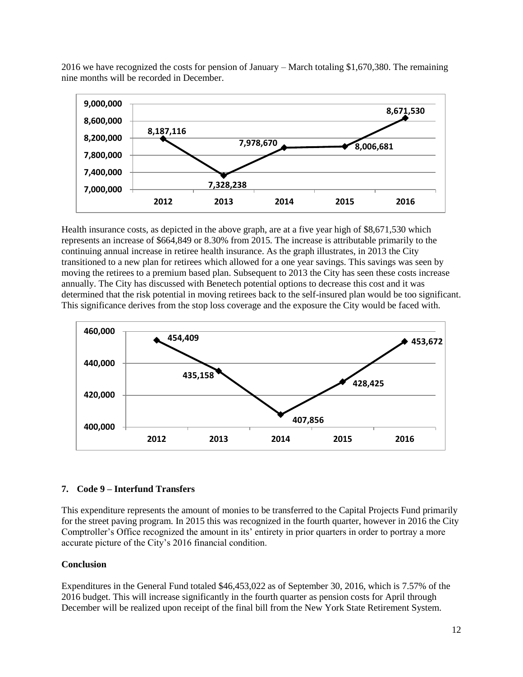2016 we have recognized the costs for pension of January – March totaling \$1,670,380. The remaining nine months will be recorded in December.



Health insurance costs, as depicted in the above graph, are at a five year high of \$8,671,530 which represents an increase of \$664,849 or 8.30% from 2015. The increase is attributable primarily to the continuing annual increase in retiree health insurance. As the graph illustrates, in 2013 the City transitioned to a new plan for retirees which allowed for a one year savings. This savings was seen by moving the retirees to a premium based plan. Subsequent to 2013 the City has seen these costs increase annually. The City has discussed with Benetech potential options to decrease this cost and it was determined that the risk potential in moving retirees back to the self-insured plan would be too significant. This significance derives from the stop loss coverage and the exposure the City would be faced with.



## **7. Code 9 – Interfund Transfers**

This expenditure represents the amount of monies to be transferred to the Capital Projects Fund primarily for the street paving program. In 2015 this was recognized in the fourth quarter, however in 2016 the City Comptroller's Office recognized the amount in its' entirety in prior quarters in order to portray a more accurate picture of the City's 2016 financial condition.

## **Conclusion**

Expenditures in the General Fund totaled \$46,453,022 as of September 30, 2016, which is 7.57% of the 2016 budget. This will increase significantly in the fourth quarter as pension costs for April through December will be realized upon receipt of the final bill from the New York State Retirement System.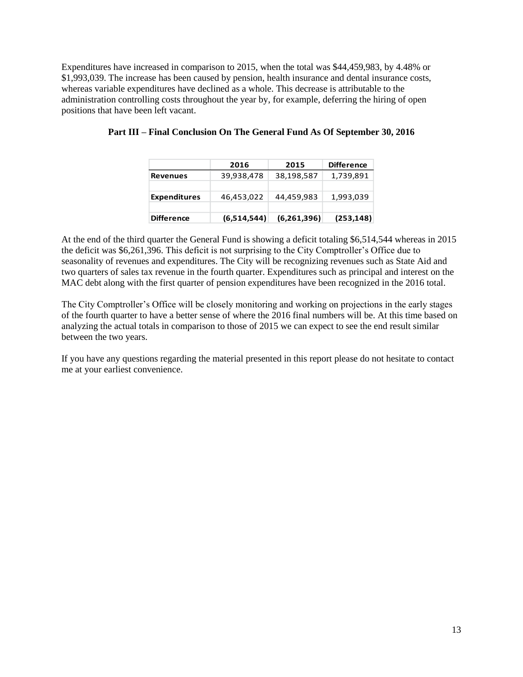Expenditures have increased in comparison to 2015, when the total was \$44,459,983, by 4.48% or \$1,993,039. The increase has been caused by pension, health insurance and dental insurance costs, whereas variable expenditures have declined as a whole. This decrease is attributable to the administration controlling costs throughout the year by, for example, deferring the hiring of open positions that have been left vacant.

|                     | 2016        | 2015        | <b>Difference</b> |
|---------------------|-------------|-------------|-------------------|
| <b>Revenues</b>     | 39,938,478  | 38,198,587  | 1,739,891         |
|                     |             |             |                   |
| <b>Expenditures</b> | 46,453,022  | 44,459,983  | 1,993,039         |
|                     |             |             |                   |
| <b>Difference</b>   | (6,514,544) | (6,261,396) | (253, 148)        |

# **Part III – Final Conclusion On The General Fund As Of September 30, 2016**

At the end of the third quarter the General Fund is showing a deficit totaling \$6,514,544 whereas in 2015 the deficit was \$6,261,396. This deficit is not surprising to the City Comptroller's Office due to seasonality of revenues and expenditures. The City will be recognizing revenues such as State Aid and two quarters of sales tax revenue in the fourth quarter. Expenditures such as principal and interest on the MAC debt along with the first quarter of pension expenditures have been recognized in the 2016 total.

The City Comptroller's Office will be closely monitoring and working on projections in the early stages of the fourth quarter to have a better sense of where the 2016 final numbers will be. At this time based on analyzing the actual totals in comparison to those of 2015 we can expect to see the end result similar between the two years.

If you have any questions regarding the material presented in this report please do not hesitate to contact me at your earliest convenience.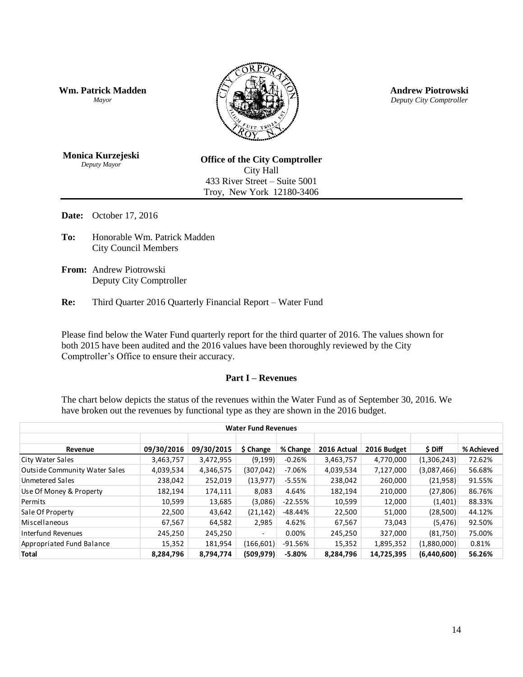**Wm. Patrick Madden** *Mayor*



**Andrew Piotrowski** *Deputy City Comptroller*

**Monica Kurzejeski** *Deputy Mayor*

**Office of the City Comptroller** City Hall 433 River Street – Suite 5001 Troy, New York 12180-3406

**Date:** October 17, 2016

- **To:** Honorable Wm. Patrick Madden City Council Members
- **From:** Andrew Piotrowski Deputy City Comptroller

**Re:** Third Quarter 2016 Quarterly Financial Report – Water Fund

Please find below the Water Fund quarterly report for the third quarter of 2016. The values shown for both 2015 have been audited and the 2016 values have been thoroughly reviewed by the City Comptroller's Office to ensure their accuracy.

#### **Part I – Revenues**

The chart below depicts the status of the revenues within the Water Fund as of September 30, 2016. We have broken out the revenues by functional type as they are shown in the 2016 budget.

| <b>Water Fund Revenues</b>           |            |            |            |            |             |             |             |            |  |
|--------------------------------------|------------|------------|------------|------------|-------------|-------------|-------------|------------|--|
| Revenue                              | 09/30/2016 | 09/30/2015 | \$ Change  | % Change   | 2016 Actual | 2016 Budget | \$ Diff     | % Achieved |  |
| City Water Sales                     | 3,463,757  | 3,472,955  | (9, 199)   | $-0.26%$   | 3,463,757   | 4,770,000   | (1,306,243) | 72.62%     |  |
| <b>Outside Community Water Sales</b> | 4,039,534  | 4,346,575  | (307, 042) | -7.06%     | 4,039,534   | 7,127,000   | (3,087,466) | 56.68%     |  |
| Unmetered Sales                      | 238,042    | 252,019    | (13, 977)  | $-5.55%$   | 238,042     | 260,000     | (21,958)    | 91.55%     |  |
| Use Of Money & Property              | 182,194    | 174,111    | 8,083      | 4.64%      | 182,194     | 210,000     | (27, 806)   | 86.76%     |  |
| Permits                              | 10,599     | 13,685     | (3,086)    | $-22.55%$  | 10,599      | 12,000      | (1,401)     | 88.33%     |  |
| Sale Of Property                     | 22,500     | 43,642     | (21, 142)  | -48.44%    | 22,500      | 51,000      | (28,500)    | 44.12%     |  |
| Miscellaneous                        | 67,567     | 64,582     | 2,985      | 4.62%      | 67,567      | 73,043      | (5, 476)    | 92.50%     |  |
| Interfund Revenues                   | 245,250    | 245,250    |            | $0.00\%$   | 245,250     | 327,000     | (81,750)    | 75.00%     |  |
| Appropriated Fund Balance            | 15,352     | 181,954    | (166, 601) | $-91.56\%$ | 15,352      | 1,895,352   | (1,880,000) | 0.81%      |  |
| Total                                | 8,284,796  | 8,794,774  | (509, 979) | $-5.80%$   | 8,284,796   | 14,725,395  | (6,440,600) | 56.26%     |  |
|                                      |            |            |            |            |             |             | 14          |            |  |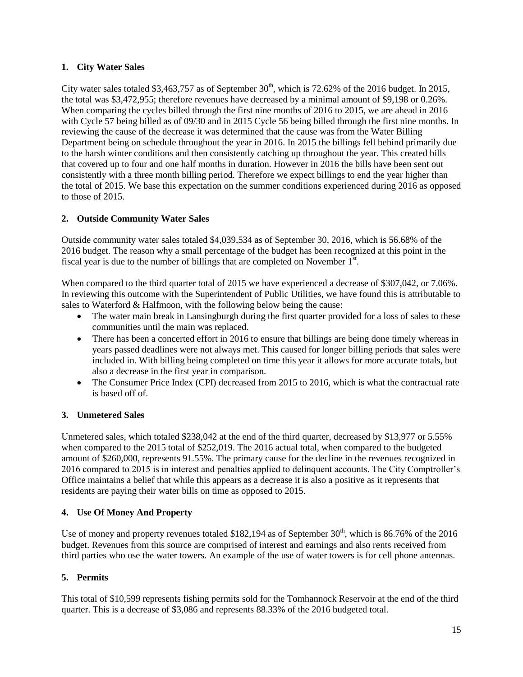## **1. City Water Sales**

City water sales totaled \$3,463,757 as of September  $30<sup>th</sup>$ , which is 72.62% of the 2016 budget. In 2015, the total was \$3,472,955; therefore revenues have decreased by a minimal amount of \$9,198 or 0.26%. When comparing the cycles billed through the first nine months of 2016 to 2015, we are ahead in 2016 with Cycle 57 being billed as of 09/30 and in 2015 Cycle 56 being billed through the first nine months. In reviewing the cause of the decrease it was determined that the cause was from the Water Billing Department being on schedule throughout the year in 2016. In 2015 the billings fell behind primarily due to the harsh winter conditions and then consistently catching up throughout the year. This created bills that covered up to four and one half months in duration. However in 2016 the bills have been sent out consistently with a three month billing period. Therefore we expect billings to end the year higher than the total of 2015. We base this expectation on the summer conditions experienced during 2016 as opposed to those of 2015.

# **2. Outside Community Water Sales**

Outside community water sales totaled \$4,039,534 as of September 30, 2016, which is 56.68% of the 2016 budget. The reason why a small percentage of the budget has been recognized at this point in the fiscal year is due to the number of billings that are completed on November  $1<sup>st</sup>$ .

When compared to the third quarter total of 2015 we have experienced a decrease of \$307,042, or 7.06%. In reviewing this outcome with the Superintendent of Public Utilities, we have found this is attributable to sales to Waterford & Halfmoon, with the following below being the cause:

- The water main break in Lansingburgh during the first quarter provided for a loss of sales to these communities until the main was replaced.
- There has been a concerted effort in 2016 to ensure that billings are being done timely whereas in years passed deadlines were not always met. This caused for longer billing periods that sales were included in. With billing being completed on time this year it allows for more accurate totals, but also a decrease in the first year in comparison.
- The Consumer Price Index (CPI) decreased from 2015 to 2016, which is what the contractual rate is based off of.

## **3. Unmetered Sales**

Unmetered sales, which totaled \$238,042 at the end of the third quarter, decreased by \$13,977 or 5.55% when compared to the 2015 total of \$252,019. The 2016 actual total, when compared to the budgeted amount of \$260,000, represents 91.55%. The primary cause for the decline in the revenues recognized in 2016 compared to 2015 is in interest and penalties applied to delinquent accounts. The City Comptroller's Office maintains a belief that while this appears as a decrease it is also a positive as it represents that residents are paying their water bills on time as opposed to 2015.

# **4. Use Of Money And Property**

Use of money and property revenues totaled \$182,194 as of September  $30<sup>th</sup>$ , which is 86.76% of the 2016 budget. Revenues from this source are comprised of interest and earnings and also rents received from third parties who use the water towers. An example of the use of water towers is for cell phone antennas.

# **5. Permits**

This total of \$10,599 represents fishing permits sold for the Tomhannock Reservoir at the end of the third quarter. This is a decrease of \$3,086 and represents 88.33% of the 2016 budgeted total.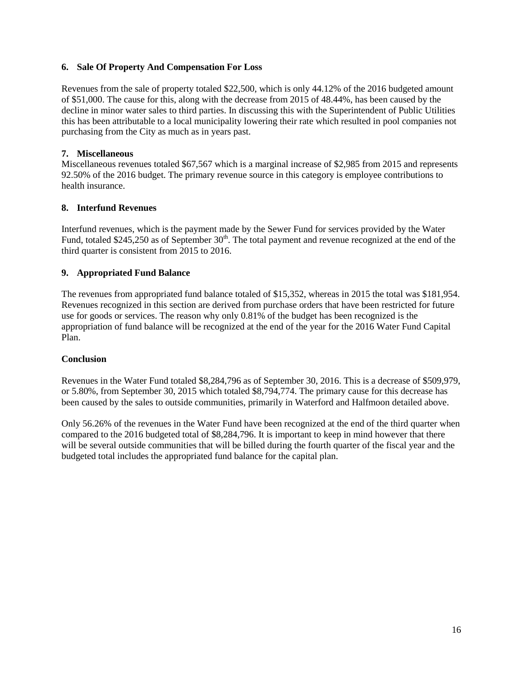#### **6. Sale Of Property And Compensation For Loss**

Revenues from the sale of property totaled \$22,500, which is only 44.12% of the 2016 budgeted amount of \$51,000. The cause for this, along with the decrease from 2015 of 48.44%, has been caused by the decline in minor water sales to third parties. In discussing this with the Superintendent of Public Utilities this has been attributable to a local municipality lowering their rate which resulted in pool companies not purchasing from the City as much as in years past.

### **7. Miscellaneous**

Miscellaneous revenues totaled \$67,567 which is a marginal increase of \$2,985 from 2015 and represents 92.50% of the 2016 budget. The primary revenue source in this category is employee contributions to health insurance.

### **8. Interfund Revenues**

Interfund revenues, which is the payment made by the Sewer Fund for services provided by the Water Fund, totaled \$245,250 as of September  $30<sup>th</sup>$ . The total payment and revenue recognized at the end of the third quarter is consistent from 2015 to 2016.

## **9. Appropriated Fund Balance**

The revenues from appropriated fund balance totaled of \$15,352, whereas in 2015 the total was \$181,954. Revenues recognized in this section are derived from purchase orders that have been restricted for future use for goods or services. The reason why only 0.81% of the budget has been recognized is the appropriation of fund balance will be recognized at the end of the year for the 2016 Water Fund Capital Plan.

## **Conclusion**

Revenues in the Water Fund totaled \$8,284,796 as of September 30, 2016. This is a decrease of \$509,979, or 5.80%, from September 30, 2015 which totaled \$8,794,774. The primary cause for this decrease has been caused by the sales to outside communities, primarily in Waterford and Halfmoon detailed above.

Only 56.26% of the revenues in the Water Fund have been recognized at the end of the third quarter when compared to the 2016 budgeted total of \$8,284,796. It is important to keep in mind however that there will be several outside communities that will be billed during the fourth quarter of the fiscal year and the budgeted total includes the appropriated fund balance for the capital plan.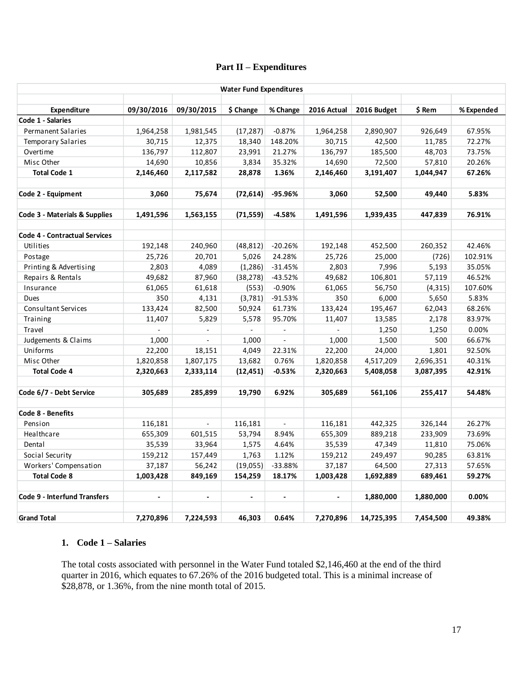# **Part II – Expenditures**

|                                      |                |                          | <b>Water Fund Expenditures</b> |                |                |             |           |            |
|--------------------------------------|----------------|--------------------------|--------------------------------|----------------|----------------|-------------|-----------|------------|
| Expenditure                          | 09/30/2016     | 09/30/2015               | \$ Change                      | % Change       | 2016 Actual    | 2016 Budget | \$ Rem    | % Expended |
| Code 1 - Salaries                    |                |                          |                                |                |                |             |           |            |
| <b>Permanent Salaries</b>            | 1,964,258      | 1,981,545                | (17, 287)                      | $-0.87%$       | 1,964,258      | 2,890,907   | 926,649   | 67.95%     |
| <b>Temporary Salaries</b>            | 30,715         | 12,375                   | 18,340                         | 148.20%        | 30,715         | 42,500      | 11,785    | 72.27%     |
| Overtime                             | 136,797        | 112,807                  | 23,991                         | 21.27%         | 136,797        | 185,500     | 48,703    | 73.75%     |
| Misc Other                           | 14,690         | 10,856                   | 3,834                          | 35.32%         | 14,690         | 72,500      | 57,810    | 20.26%     |
| <b>Total Code 1</b>                  | 2,146,460      | 2,117,582                | 28,878                         | 1.36%          | 2,146,460      | 3,191,407   | 1,044,947 | 67.26%     |
| Code 2 - Equipment                   | 3,060          | 75,674                   | (72, 614)                      | -95.96%        | 3,060          | 52,500      | 49,440    | 5.83%      |
|                                      |                |                          |                                |                |                |             |           |            |
| Code 3 - Materials & Supplies        | 1,491,596      | 1,563,155                | (71, 559)                      | $-4.58%$       | 1,491,596      | 1,939,435   | 447,839   | 76.91%     |
| <b>Code 4 - Contractual Services</b> |                |                          |                                |                |                |             |           |            |
| Utilities                            | 192,148        | 240,960                  | (48, 812)                      | $-20.26%$      | 192,148        | 452,500     | 260,352   | 42.46%     |
| Postage                              | 25,726         | 20,701                   | 5,026                          | 24.28%         | 25,726         | 25,000      | (726)     | 102.91%    |
| Printing & Advertising               | 2,803          | 4,089                    | (1, 286)                       | $-31.45%$      | 2,803          | 7,996       | 5,193     | 35.05%     |
| Repairs & Rentals                    | 49,682         | 87,960                   | (38, 278)                      | $-43.52%$      | 49,682         | 106,801     | 57,119    | 46.52%     |
| Insurance                            | 61,065         | 61,618                   | (553)                          | $-0.90%$       | 61,065         | 56,750      | (4, 315)  | 107.60%    |
| <b>Dues</b>                          | 350            | 4,131                    | (3,781)                        | $-91.53%$      | 350            | 6,000       | 5,650     | 5.83%      |
| <b>Consultant Services</b>           | 133,424        | 82,500                   | 50,924                         | 61.73%         | 133,424        | 195,467     | 62,043    | 68.26%     |
| Training                             | 11,407         | 5,829                    | 5,578                          | 95.70%         | 11,407         | 13,585      | 2,178     | 83.97%     |
| Travel                               |                | $\blacksquare$           |                                | $\blacksquare$ |                | 1,250       | 1,250     | 0.00%      |
| Judgements & Claims                  | 1,000          | $\overline{a}$           | 1,000                          | L.             | 1,000          | 1,500       | 500       | 66.67%     |
| Uniforms                             | 22,200         | 18,151                   | 4,049                          | 22.31%         | 22,200         | 24,000      | 1,801     | 92.50%     |
| Misc Other                           | 1,820,858      | 1,807,175                | 13,682                         | 0.76%          | 1,820,858      | 4,517,209   | 2,696,351 | 40.31%     |
| <b>Total Code 4</b>                  | 2,320,663      | 2,333,114                | (12, 451)                      | $-0.53%$       | 2,320,663      | 5,408,058   | 3,087,395 | 42.91%     |
| Code 6/7 - Debt Service              | 305,689        | 285,899                  | 19,790                         | 6.92%          | 305,689        | 561,106     | 255,417   | 54.48%     |
| Code 8 - Benefits                    |                |                          |                                |                |                |             |           |            |
| Pension                              | 116,181        | $\overline{\phantom{a}}$ | 116,181                        | ÷.             | 116,181        | 442,325     | 326,144   | 26.27%     |
| Healthcare                           | 655,309        | 601,515                  | 53,794                         | 8.94%          | 655,309        | 889,218     | 233,909   | 73.69%     |
| Dental                               | 35,539         | 33,964                   | 1,575                          | 4.64%          | 35,539         | 47,349      | 11,810    | 75.06%     |
| Social Security                      | 159,212        | 157,449                  | 1,763                          | 1.12%          | 159,212        | 249,497     | 90,285    | 63.81%     |
| Workers' Compensation                | 37,187         | 56,242                   | (19,055)                       | $-33.88%$      | 37,187         | 64,500      | 27,313    | 57.65%     |
| <b>Total Code 8</b>                  | 1,003,428      | 849,169                  | 154,259                        | 18.17%         | 1,003,428      | 1,692,889   | 689,461   | 59.27%     |
| Code 9 - Interfund Transfers         | $\blacksquare$ | $\blacksquare$           | $\blacksquare$                 | $\blacksquare$ | $\blacksquare$ | 1,880,000   | 1,880,000 | 0.00%      |
|                                      |                |                          |                                |                |                |             |           |            |
| <b>Grand Total</b>                   | 7,270,896      | 7,224,593                | 46,303                         | 0.64%          | 7,270,896      | 14,725,395  | 7,454,500 | 49.38%     |

### **1. Code 1 – Salaries**

The total costs associated with personnel in the Water Fund totaled \$2,146,460 at the end of the third quarter in 2016, which equates to 67.26% of the 2016 budgeted total. This is a minimal increase of \$28,878, or 1.36%, from the nine month total of 2015.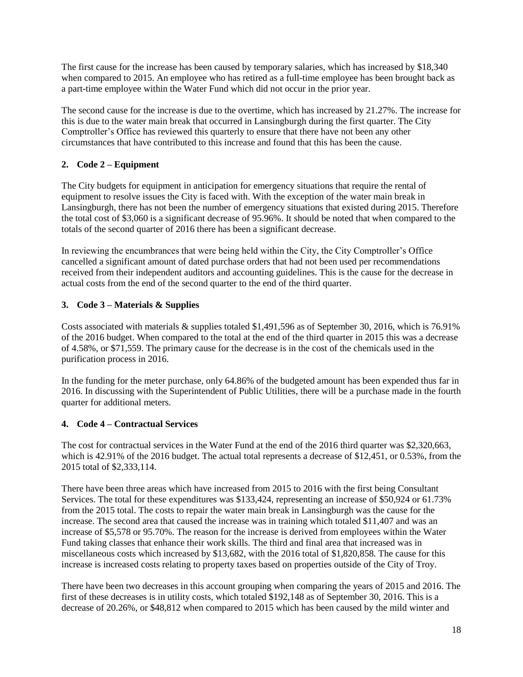The first cause for the increase has been caused by temporary salaries, which has increased by \$18,340 when compared to 2015. An employee who has retired as a full-time employee has been brought back as a part-time employee within the Water Fund which did not occur in the prior year.

The second cause for the increase is due to the overtime, which has increased by 21.27%. The increase for this is due to the water main break that occurred in Lansingburgh during the first quarter. The City Comptroller's Office has reviewed this quarterly to ensure that there have not been any other circumstances that have contributed to this increase and found that this has been the cause.

# **2. Code 2 – Equipment**

The City budgets for equipment in anticipation for emergency situations that require the rental of equipment to resolve issues the City is faced with. With the exception of the water main break in Lansingburgh, there has not been the number of emergency situations that existed during 2015. Therefore the total cost of \$3,060 is a significant decrease of 95.96%. It should be noted that when compared to the totals of the second quarter of 2016 there has been a significant decrease.

In reviewing the encumbrances that were being held within the City, the City Comptroller's Office cancelled a significant amount of dated purchase orders that had not been used per recommendations received from their independent auditors and accounting guidelines. This is the cause for the decrease in actual costs from the end of the second quarter to the end of the third quarter.

# **3. Code 3 – Materials & Supplies**

Costs associated with materials & supplies totaled \$1,491,596 as of September 30, 2016, which is 76.91% of the 2016 budget. When compared to the total at the end of the third quarter in 2015 this was a decrease of 4.58%, or \$71,559. The primary cause for the decrease is in the cost of the chemicals used in the purification process in 2016.

In the funding for the meter purchase, only 64.86% of the budgeted amount has been expended thus far in 2016. In discussing with the Superintendent of Public Utilities, there will be a purchase made in the fourth quarter for additional meters.

## **4. Code 4 – Contractual Services**

The cost for contractual services in the Water Fund at the end of the 2016 third quarter was \$2,320,663, which is 42.91% of the 2016 budget. The actual total represents a decrease of \$12,451, or 0.53%, from the 2015 total of \$2,333,114.

There have been three areas which have increased from 2015 to 2016 with the first being Consultant Services. The total for these expenditures was \$133,424, representing an increase of \$50,924 or 61.73% from the 2015 total. The costs to repair the water main break in Lansingburgh was the cause for the increase. The second area that caused the increase was in training which totaled \$11,407 and was an increase of \$5,578 or 95.70%. The reason for the increase is derived from employees within the Water Fund taking classes that enhance their work skills. The third and final area that increased was in miscellaneous costs which increased by \$13,682, with the 2016 total of \$1,820,858. The cause for this increase is increased costs relating to property taxes based on properties outside of the City of Troy.

There have been two decreases in this account grouping when comparing the years of 2015 and 2016. The first of these decreases is in utility costs, which totaled \$192,148 as of September 30, 2016. This is a decrease of 20.26%, or \$48,812 when compared to 2015 which has been caused by the mild winter and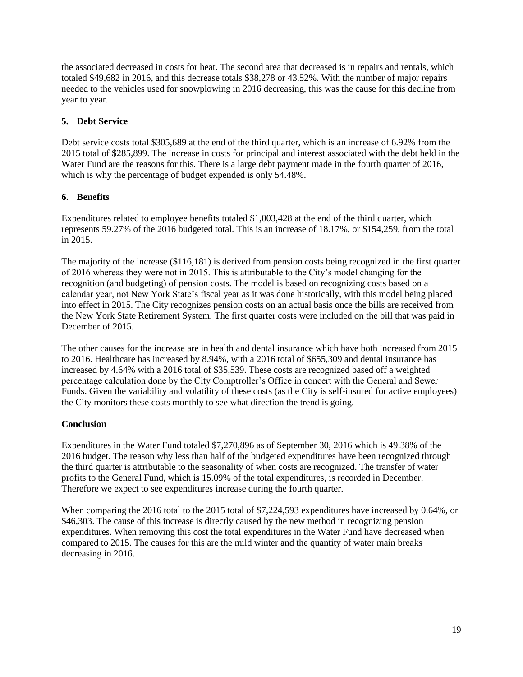the associated decreased in costs for heat. The second area that decreased is in repairs and rentals, which totaled \$49,682 in 2016, and this decrease totals \$38,278 or 43.52%. With the number of major repairs needed to the vehicles used for snowplowing in 2016 decreasing, this was the cause for this decline from year to year.

### **5. Debt Service**

Debt service costs total \$305,689 at the end of the third quarter, which is an increase of 6.92% from the 2015 total of \$285,899. The increase in costs for principal and interest associated with the debt held in the Water Fund are the reasons for this. There is a large debt payment made in the fourth quarter of 2016, which is why the percentage of budget expended is only  $\overline{54.48\%}$ .

## **6. Benefits**

Expenditures related to employee benefits totaled \$1,003,428 at the end of the third quarter, which represents 59.27% of the 2016 budgeted total. This is an increase of 18.17%, or \$154,259, from the total in 2015.

The majority of the increase (\$116,181) is derived from pension costs being recognized in the first quarter of 2016 whereas they were not in 2015. This is attributable to the City's model changing for the recognition (and budgeting) of pension costs. The model is based on recognizing costs based on a calendar year, not New York State's fiscal year as it was done historically, with this model being placed into effect in 2015. The City recognizes pension costs on an actual basis once the bills are received from the New York State Retirement System. The first quarter costs were included on the bill that was paid in December of 2015.

The other causes for the increase are in health and dental insurance which have both increased from 2015 to 2016. Healthcare has increased by 8.94%, with a 2016 total of \$655,309 and dental insurance has increased by 4.64% with a 2016 total of \$35,539. These costs are recognized based off a weighted percentage calculation done by the City Comptroller's Office in concert with the General and Sewer Funds. Given the variability and volatility of these costs (as the City is self-insured for active employees) the City monitors these costs monthly to see what direction the trend is going.

## **Conclusion**

Expenditures in the Water Fund totaled \$7,270,896 as of September 30, 2016 which is 49.38% of the 2016 budget. The reason why less than half of the budgeted expenditures have been recognized through the third quarter is attributable to the seasonality of when costs are recognized. The transfer of water profits to the General Fund, which is 15.09% of the total expenditures, is recorded in December. Therefore we expect to see expenditures increase during the fourth quarter.

When comparing the 2016 total to the 2015 total of \$7,224,593 expenditures have increased by 0.64%, or \$46,303. The cause of this increase is directly caused by the new method in recognizing pension expenditures. When removing this cost the total expenditures in the Water Fund have decreased when compared to 2015. The causes for this are the mild winter and the quantity of water main breaks decreasing in 2016.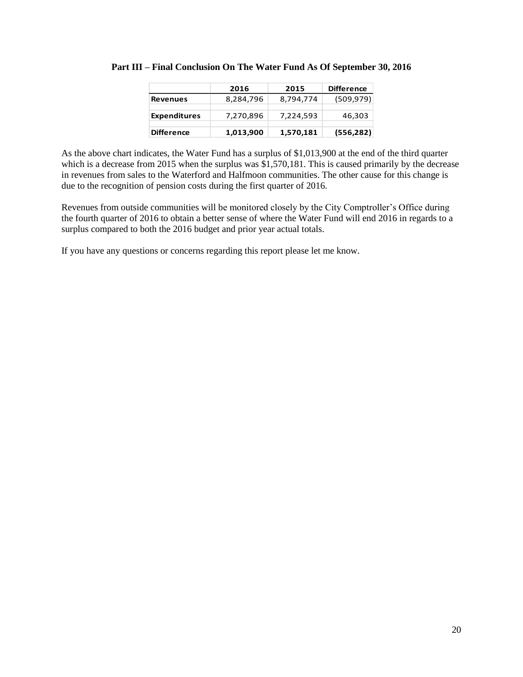|                     | 2016      | 2015      | <b>Difference</b> |
|---------------------|-----------|-----------|-------------------|
| <b>Revenues</b>     | 8,284,796 | 8,794,774 | (509, 979)        |
| <b>Expenditures</b> | 7,270,896 | 7,224,593 | 46,303            |
| <b>Difference</b>   | 1,013,900 | 1,570,181 | (556, 282)        |

**Part III – Final Conclusion On The Water Fund As Of September 30, 2016**

As the above chart indicates, the Water Fund has a surplus of \$1,013,900 at the end of the third quarter which is a decrease from 2015 when the surplus was \$1,570,181. This is caused primarily by the decrease in revenues from sales to the Waterford and Halfmoon communities. The other cause for this change is due to the recognition of pension costs during the first quarter of 2016.

Revenues from outside communities will be monitored closely by the City Comptroller's Office during the fourth quarter of 2016 to obtain a better sense of where the Water Fund will end 2016 in regards to a surplus compared to both the 2016 budget and prior year actual totals.

If you have any questions or concerns regarding this report please let me know.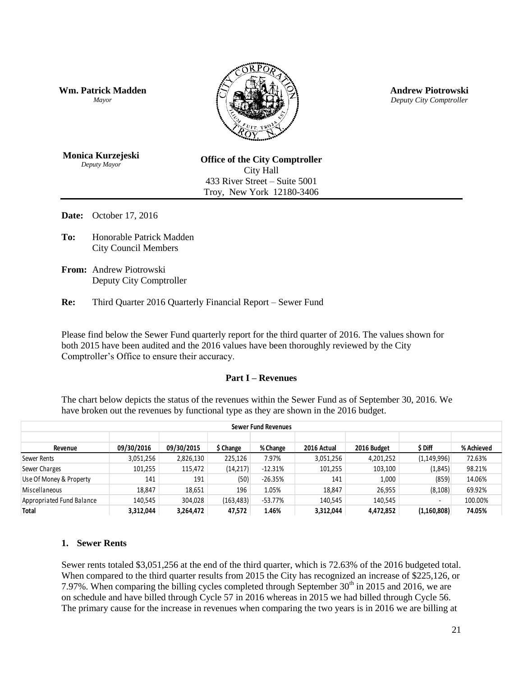**Wm. Patrick Madden** *Mayor*



**Andrew Piotrowski** *Deputy City Comptroller*

**Monica Kurzejeski** *Deputy Mayor*

**Office of the City Comptroller** City Hall 433 River Street – Suite 5001 Troy, New York 12180-3406

**Date:** October 17, 2016

**To:** Honorable Patrick Madden City Council Members

**From:** Andrew Piotrowski Deputy City Comptroller

**Re:** Third Quarter 2016 Quarterly Financial Report – Sewer Fund

Please find below the Sewer Fund quarterly report for the third quarter of 2016. The values shown for both 2015 have been audited and the 2016 values have been thoroughly reviewed by the City Comptroller's Office to ensure their accuracy.

#### **Part I – Revenues**

The chart below depicts the status of the revenues within the Sewer Fund as of September 30, 2016. We have broken out the revenues by functional type as they are shown in the 2016 budget.

| <b>Sewer Fund Revenues</b> |                                                                                                                                                                                                                                                                                                                                                                                                                                                                                                                                                                                       |            |            |           |             |             |               |            |  |  |  |
|----------------------------|---------------------------------------------------------------------------------------------------------------------------------------------------------------------------------------------------------------------------------------------------------------------------------------------------------------------------------------------------------------------------------------------------------------------------------------------------------------------------------------------------------------------------------------------------------------------------------------|------------|------------|-----------|-------------|-------------|---------------|------------|--|--|--|
| Revenue                    | 09/30/2016                                                                                                                                                                                                                                                                                                                                                                                                                                                                                                                                                                            | 09/30/2015 | \$ Change  | % Change  | 2016 Actual | 2016 Budget | \$ Diff       | % Achieved |  |  |  |
| Sewer Rents                | 3,051,256                                                                                                                                                                                                                                                                                                                                                                                                                                                                                                                                                                             | 2,826,130  | 225,126    | 7.97%     | 3,051,256   | 4,201,252   | (1, 149, 996) | 72.63%     |  |  |  |
| Sewer Charges              | 101,255                                                                                                                                                                                                                                                                                                                                                                                                                                                                                                                                                                               | 115,472    | (14, 217)  | $-12.31%$ | 101,255     | 103,100     | (1,845)       | 98.21%     |  |  |  |
| Use Of Money & Property    | 141                                                                                                                                                                                                                                                                                                                                                                                                                                                                                                                                                                                   | 191        | (50)       | $-26.35%$ | 141         | 1,000       | (859)         | 14.06%     |  |  |  |
| Miscellaneous              | 18,847                                                                                                                                                                                                                                                                                                                                                                                                                                                                                                                                                                                | 18,651     | 196        | 1.05%     | 18,847      | 26,955      | (8, 108)      | 69.92%     |  |  |  |
| Appropriated Fund Balance  | 140,545                                                                                                                                                                                                                                                                                                                                                                                                                                                                                                                                                                               | 304,028    | (163, 483) | $-53.77%$ | 140,545     | 140,545     |               | 100.00%    |  |  |  |
| Total                      | 3,312,044                                                                                                                                                                                                                                                                                                                                                                                                                                                                                                                                                                             | 3,264,472  | 47,572     | 1.46%     | 3,312,044   | 4,472,852   | (1,160,808)   | 74.05%     |  |  |  |
|                            | <b>Sewer Rents</b><br>Sewer rents totaled \$3,051,256 at the end of the third quarter, which is 72.63% of the 2016 budgeted total.<br>When compared to the third quarter results from 2015 the City has recognized an increase of \$225,126, or<br>7.97%. When comparing the billing cycles completed through September 30 <sup>th</sup> in 2015 and 2016, we are<br>on schedule and have billed through Cycle 57 in 2016 whereas in 2015 we had billed through Cycle 56.<br>The primary cause for the increase in revenues when comparing the two years is in 2016 we are billing at |            |            |           |             |             |               |            |  |  |  |
|                            | 21                                                                                                                                                                                                                                                                                                                                                                                                                                                                                                                                                                                    |            |            |           |             |             |               |            |  |  |  |

#### **1. Sewer Rents**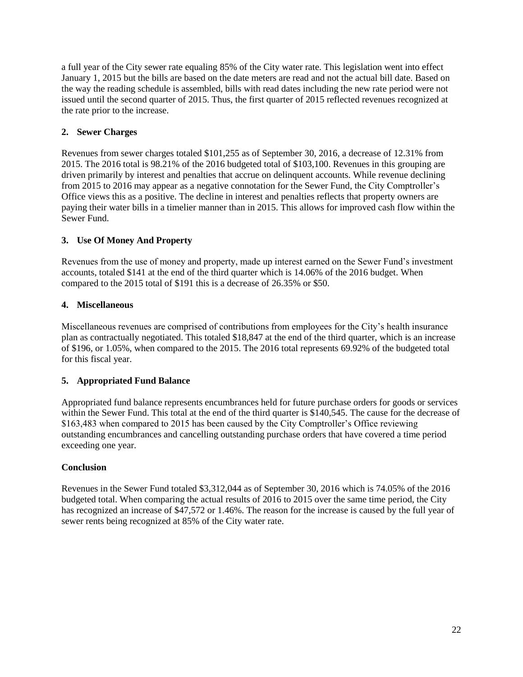a full year of the City sewer rate equaling 85% of the City water rate. This legislation went into effect January 1, 2015 but the bills are based on the date meters are read and not the actual bill date. Based on the way the reading schedule is assembled, bills with read dates including the new rate period were not issued until the second quarter of 2015. Thus, the first quarter of 2015 reflected revenues recognized at the rate prior to the increase.

# **2. Sewer Charges**

Revenues from sewer charges totaled \$101,255 as of September 30, 2016, a decrease of 12.31% from 2015. The 2016 total is 98.21% of the 2016 budgeted total of \$103,100. Revenues in this grouping are driven primarily by interest and penalties that accrue on delinquent accounts. While revenue declining from 2015 to 2016 may appear as a negative connotation for the Sewer Fund, the City Comptroller's Office views this as a positive. The decline in interest and penalties reflects that property owners are paying their water bills in a timelier manner than in 2015. This allows for improved cash flow within the Sewer Fund.

# **3. Use Of Money And Property**

Revenues from the use of money and property, made up interest earned on the Sewer Fund's investment accounts, totaled \$141 at the end of the third quarter which is 14.06% of the 2016 budget. When compared to the 2015 total of \$191 this is a decrease of 26.35% or \$50.

# **4. Miscellaneous**

Miscellaneous revenues are comprised of contributions from employees for the City's health insurance plan as contractually negotiated. This totaled \$18,847 at the end of the third quarter, which is an increase of \$196, or 1.05%, when compared to the 2015. The 2016 total represents 69.92% of the budgeted total for this fiscal year.

## **5. Appropriated Fund Balance**

Appropriated fund balance represents encumbrances held for future purchase orders for goods or services within the Sewer Fund. This total at the end of the third quarter is \$140,545. The cause for the decrease of \$163,483 when compared to 2015 has been caused by the City Comptroller's Office reviewing outstanding encumbrances and cancelling outstanding purchase orders that have covered a time period exceeding one year.

## **Conclusion**

Revenues in the Sewer Fund totaled \$3,312,044 as of September 30, 2016 which is 74.05% of the 2016 budgeted total. When comparing the actual results of 2016 to 2015 over the same time period, the City has recognized an increase of \$47,572 or 1.46%. The reason for the increase is caused by the full year of sewer rents being recognized at 85% of the City water rate.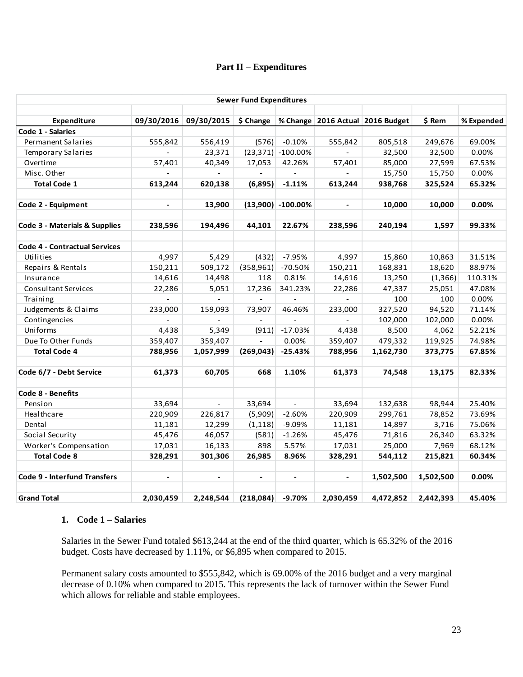#### **Part II – Expenditures**

|                                          |                |                | <b>Sewer Fund Expenditures</b> |                          |                          |                                  |           |            |
|------------------------------------------|----------------|----------------|--------------------------------|--------------------------|--------------------------|----------------------------------|-----------|------------|
|                                          |                |                |                                |                          |                          |                                  |           |            |
| Expenditure                              | 09/30/2016     | 09/30/2015     | $$$ Change                     |                          |                          | % Change 2016 Actual 2016 Budget | \$ Rem    | % Expended |
| Code 1 - Salaries                        |                |                |                                |                          |                          |                                  |           |            |
| <b>Permanent Salaries</b>                | 555,842        | 556,419        | (576)                          | $-0.10%$                 | 555,842                  | 805,518                          | 249,676   | 69.00%     |
| <b>Temporary Salaries</b>                |                | 23,371         |                                | $(23,371)$ -100.00%      | $\blacksquare$           | 32,500                           | 32,500    | 0.00%      |
| Overtime                                 | 57,401         | 40,349         | 17,053                         | 42.26%                   | 57,401                   | 85,000                           | 27,599    | 67.53%     |
| Misc. Other                              |                | $\Box$         | $\overline{\phantom{a}}$       | $\overline{\phantom{a}}$ | $\overline{\phantom{a}}$ | 15,750                           | 15,750    | 0.00%      |
| <b>Total Code 1</b>                      | 613,244        | 620,138        | (6,895)                        | $-1.11%$                 | 613,244                  | 938,768                          | 325,524   | 65.32%     |
| Code 2 - Equipment                       | $\blacksquare$ | 13,900         |                                | $(13,900)$ -100.00%      | $\blacksquare$           | 10,000                           | 10,000    | 0.00%      |
| <b>Code 3 - Materials &amp; Supplies</b> | 238,596        | 194,496        | 44,101                         | 22.67%                   | 238,596                  | 240,194                          | 1,597     | 99.33%     |
|                                          |                |                |                                |                          |                          |                                  |           |            |
| <b>Code 4 - Contractual Services</b>     |                |                |                                |                          |                          |                                  |           |            |
| Utilities                                | 4,997          | 5,429          | (432)                          | $-7.95%$                 | 4,997                    | 15,860                           | 10,863    | 31.51%     |
| Repairs & Rentals                        | 150,211        | 509,172        | (358, 961)                     | $-70.50%$                | 150,211                  | 168,831                          | 18,620    | 88.97%     |
| Insurance                                | 14,616         | 14,498         | 118                            | 0.81%                    | 14,616                   | 13,250                           | (1,366)   | 110.31%    |
| Consultant Services                      | 22,286         | 5,051          | 17,236                         | 341.23%                  | 22,286                   | 47,337                           | 25,051    | 47.08%     |
| Training                                 |                |                |                                |                          |                          | 100                              | 100       | 0.00%      |
| Judgements & Claims                      | 233,000        | 159,093        | 73,907                         | 46.46%                   | 233,000                  | 327,520                          | 94,520    | 71.14%     |
| Contingencies                            |                | $\overline{a}$ |                                | $\overline{a}$           | $\overline{a}$           | 102,000                          | 102,000   | 0.00%      |
| Uniforms                                 | 4,438          | 5,349          | (911)                          | $-17.03%$                | 4,438                    | 8,500                            | 4,062     | 52.21%     |
| Due To Other Funds                       | 359,407        | 359,407        |                                | 0.00%                    | 359,407                  | 479,332                          | 119,925   | 74.98%     |
| <b>Total Code 4</b>                      | 788,956        | 1,057,999      | (269, 043)                     | $-25.43%$                | 788,956                  | 1,162,730                        | 373,775   | 67.85%     |
| Code 6/7 - Debt Service                  | 61,373         | 60,705         | 668                            | 1.10%                    | 61,373                   | 74,548                           | 13,175    | 82.33%     |
| Code 8 - Benefits                        |                |                |                                |                          |                          |                                  |           |            |
| Pension                                  | 33,694         | $\omega$       | 33,694                         | $\Box$                   | 33,694                   | 132,638                          | 98,944    | 25.40%     |
| Healthcare                               | 220,909        | 226,817        | (5,909)                        | $-2.60%$                 | 220,909                  | 299,761                          | 78,852    | 73.69%     |
| Dental                                   | 11,181         | 12,299         | (1, 118)                       | $-9.09%$                 | 11,181                   | 14,897                           | 3,716     | 75.06%     |
| Social Security                          | 45,476         | 46,057         | (581)                          | $-1.26%$                 | 45,476                   | 71,816                           | 26,340    | 63.32%     |
| Worker's Compensation                    | 17,031         | 16,133         | 898                            | 5.57%                    | 17,031                   | 25,000                           | 7,969     | 68.12%     |
| <b>Total Code 8</b>                      | 328,291        | 301,306        | 26,985                         | 8.96%                    | 328,291                  | 544,112                          | 215,821   | 60.34%     |
| <b>Code 9 - Interfund Transfers</b>      | $\blacksquare$ |                |                                |                          | $\blacksquare$           | 1,502,500                        | 1,502,500 | 0.00%      |
|                                          | 2,030,459      |                | (218,084)                      | $-9.70%$                 |                          |                                  |           |            |
| <b>Grand Total</b>                       |                | 2,248,544      |                                |                          | 2,030,459                | 4,472,852                        | 2,442,393 | 45.40%     |

### **1. Code 1 – Salaries**

Salaries in the Sewer Fund totaled \$613,244 at the end of the third quarter, which is 65.32% of the 2016 budget. Costs have decreased by 1.11%, or \$6,895 when compared to 2015.

Permanent salary costs amounted to \$555,842, which is 69.00% of the 2016 budget and a very marginal decrease of 0.10% when compared to 2015. This represents the lack of turnover within the Sewer Fund which allows for reliable and stable employees.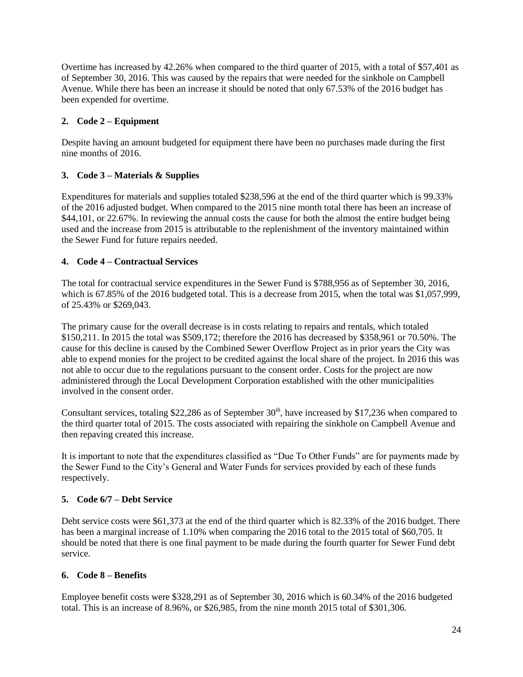Overtime has increased by 42.26% when compared to the third quarter of 2015, with a total of \$57,401 as of September 30, 2016. This was caused by the repairs that were needed for the sinkhole on Campbell Avenue. While there has been an increase it should be noted that only 67.53% of the 2016 budget has been expended for overtime.

## **2. Code 2 – Equipment**

Despite having an amount budgeted for equipment there have been no purchases made during the first nine months of 2016.

## **3. Code 3 – Materials & Supplies**

Expenditures for materials and supplies totaled \$238,596 at the end of the third quarter which is 99.33% of the 2016 adjusted budget. When compared to the 2015 nine month total there has been an increase of \$44,101, or 22.67%. In reviewing the annual costs the cause for both the almost the entire budget being used and the increase from 2015 is attributable to the replenishment of the inventory maintained within the Sewer Fund for future repairs needed.

### **4. Code 4 – Contractual Services**

The total for contractual service expenditures in the Sewer Fund is \$788,956 as of September 30, 2016, which is 67.85% of the 2016 budgeted total. This is a decrease from 2015, when the total was \$1,057,999, of 25.43% or \$269,043.

The primary cause for the overall decrease is in costs relating to repairs and rentals, which totaled \$150,211. In 2015 the total was \$509,172; therefore the 2016 has decreased by \$358,961 or 70.50%. The cause for this decline is caused by the Combined Sewer Overflow Project as in prior years the City was able to expend monies for the project to be credited against the local share of the project. In 2016 this was not able to occur due to the regulations pursuant to the consent order. Costs for the project are now administered through the Local Development Corporation established with the other municipalities involved in the consent order.

Consultant services, totaling \$22,286 as of September  $30<sup>th</sup>$ , have increased by \$17,236 when compared to the third quarter total of 2015. The costs associated with repairing the sinkhole on Campbell Avenue and then repaving created this increase.

It is important to note that the expenditures classified as "Due To Other Funds" are for payments made by the Sewer Fund to the City's General and Water Funds for services provided by each of these funds respectively.

## **5. Code 6/7 – Debt Service**

Debt service costs were \$61,373 at the end of the third quarter which is 82.33% of the 2016 budget. There has been a marginal increase of 1.10% when comparing the 2016 total to the 2015 total of \$60,705. It should be noted that there is one final payment to be made during the fourth quarter for Sewer Fund debt service.

#### **6. Code 8 – Benefits**

Employee benefit costs were \$328,291 as of September 30, 2016 which is 60.34% of the 2016 budgeted total. This is an increase of 8.96%, or \$26,985, from the nine month 2015 total of \$301,306.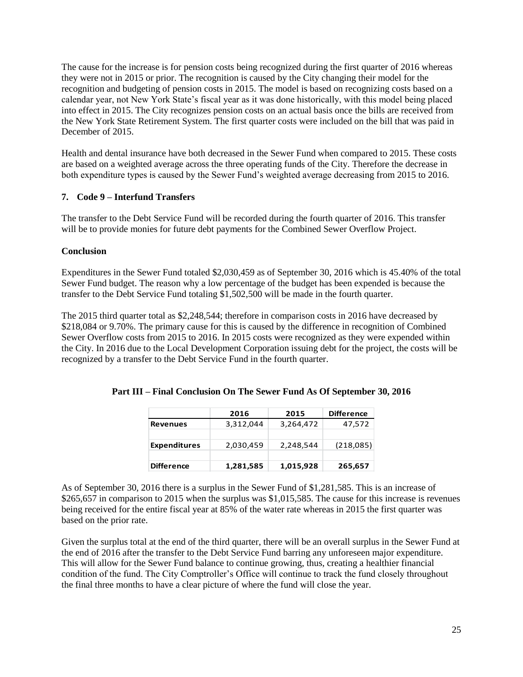The cause for the increase is for pension costs being recognized during the first quarter of 2016 whereas they were not in 2015 or prior. The recognition is caused by the City changing their model for the recognition and budgeting of pension costs in 2015. The model is based on recognizing costs based on a calendar year, not New York State's fiscal year as it was done historically, with this model being placed into effect in 2015. The City recognizes pension costs on an actual basis once the bills are received from the New York State Retirement System. The first quarter costs were included on the bill that was paid in December of 2015.

Health and dental insurance have both decreased in the Sewer Fund when compared to 2015. These costs are based on a weighted average across the three operating funds of the City. Therefore the decrease in both expenditure types is caused by the Sewer Fund's weighted average decreasing from 2015 to 2016.

### **7. Code 9 – Interfund Transfers**

The transfer to the Debt Service Fund will be recorded during the fourth quarter of 2016. This transfer will be to provide monies for future debt payments for the Combined Sewer Overflow Project.

### **Conclusion**

Expenditures in the Sewer Fund totaled \$2,030,459 as of September 30, 2016 which is 45.40% of the total Sewer Fund budget. The reason why a low percentage of the budget has been expended is because the transfer to the Debt Service Fund totaling \$1,502,500 will be made in the fourth quarter.

The 2015 third quarter total as \$2,248,544; therefore in comparison costs in 2016 have decreased by \$218,084 or 9.70%. The primary cause for this is caused by the difference in recognition of Combined Sewer Overflow costs from 2015 to 2016. In 2015 costs were recognized as they were expended within the City. In 2016 due to the Local Development Corporation issuing debt for the project, the costs will be recognized by a transfer to the Debt Service Fund in the fourth quarter.

|                     | 2016      | 2015      | <b>Difference</b> |
|---------------------|-----------|-----------|-------------------|
| <b>Revenues</b>     | 3,312,044 | 3,264,472 | 47,572            |
|                     |           |           |                   |
| <b>Expenditures</b> | 2,030,459 | 2,248,544 | (218,085)         |
|                     |           |           |                   |
| <b>Difference</b>   | 1,281,585 | 1,015,928 | 265,657           |

**Part III – Final Conclusion On The Sewer Fund As Of September 30, 2016**

As of September 30, 2016 there is a surplus in the Sewer Fund of \$1,281,585. This is an increase of \$265,657 in comparison to 2015 when the surplus was \$1,015,585. The cause for this increase is revenues being received for the entire fiscal year at 85% of the water rate whereas in 2015 the first quarter was based on the prior rate.

Given the surplus total at the end of the third quarter, there will be an overall surplus in the Sewer Fund at the end of 2016 after the transfer to the Debt Service Fund barring any unforeseen major expenditure. This will allow for the Sewer Fund balance to continue growing, thus, creating a healthier financial condition of the fund. The City Comptroller's Office will continue to track the fund closely throughout the final three months to have a clear picture of where the fund will close the year.